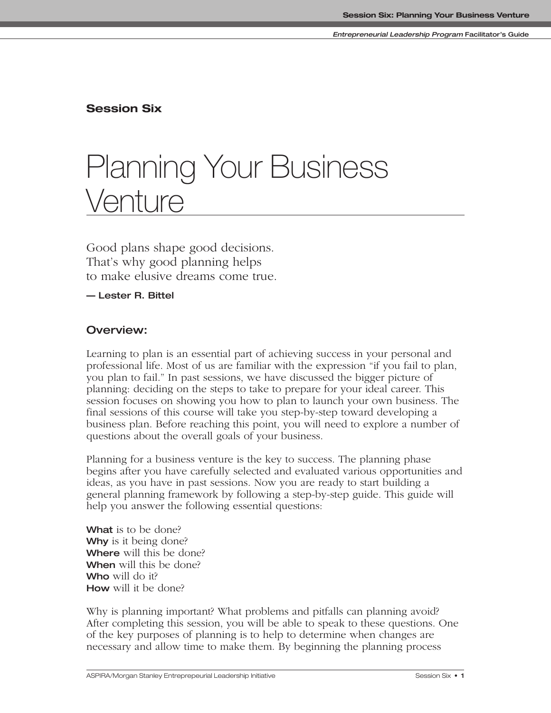### **Session Six**

# Planning Your Business Venture

Good plans shape good decisions. That's why good planning helps to make elusive dreams come true.

**— Lester R. Bittel**

#### **Overview:**

Learning to plan is an essential part of achieving success in your personal and professional life. Most of us are familiar with the expression "if you fail to plan, you plan to fail." In past sessions, we have discussed the bigger picture of planning: deciding on the steps to take to prepare for your ideal career. This session focuses on showing you how to plan to launch your own business. The final sessions of this course will take you step-by-step toward developing a business plan. Before reaching this point, you will need to explore a number of questions about the overall goals of your business.

Planning for a business venture is the key to success. The planning phase begins after you have carefully selected and evaluated various opportunities and ideas, as you have in past sessions. Now you are ready to start building a general planning framework by following a step-by-step guide. This guide will help you answer the following essential questions:

**What** is to be done? **Why** is it being done? **Where** will this be done? **When** will this be done? **Who** will do it? **How** will it be done?

Why is planning important? What problems and pitfalls can planning avoid? After completing this session, you will be able to speak to these questions. One of the key purposes of planning is to help to determine when changes are necessary and allow time to make them. By beginning the planning process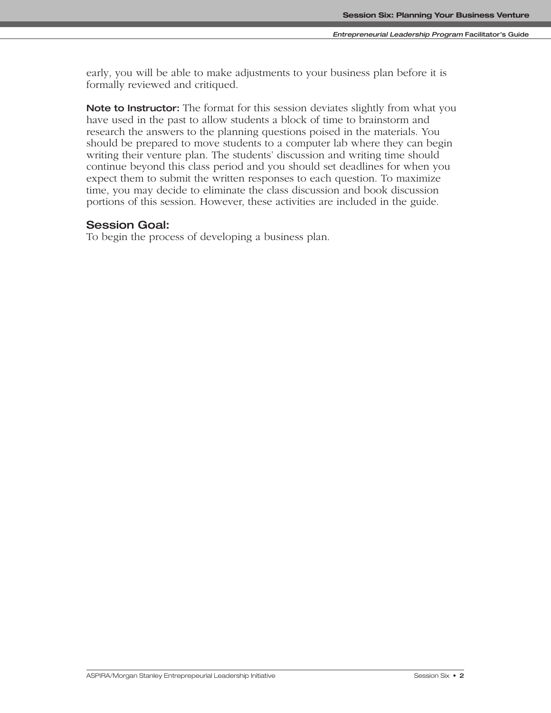early, you will be able to make adjustments to your business plan before it is formally reviewed and critiqued.

**Note to Instructor:** The format for this session deviates slightly from what you have used in the past to allow students a block of time to brainstorm and research the answers to the planning questions poised in the materials. You should be prepared to move students to a computer lab where they can begin writing their venture plan. The students' discussion and writing time should continue beyond this class period and you should set deadlines for when you expect them to submit the written responses to each question. To maximize time, you may decide to eliminate the class discussion and book discussion portions of this session. However, these activities are included in the guide.

#### **Session Goal:**

To begin the process of developing a business plan.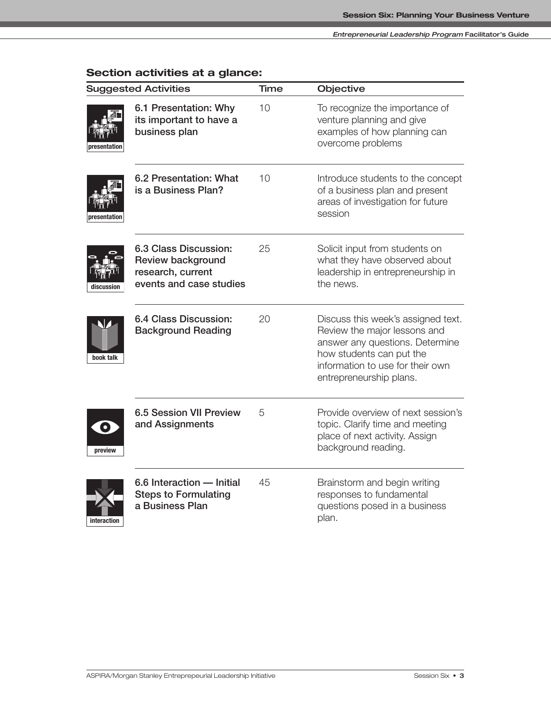| <b>Suggested Activities</b>                                                                                     | <b>Time</b> | Objective                                                                                                                                                                                        |
|-----------------------------------------------------------------------------------------------------------------|-------------|--------------------------------------------------------------------------------------------------------------------------------------------------------------------------------------------------|
| 6.1 Presentation: Why<br>its important to have a<br>business plan<br>presentation                               | 10          | To recognize the importance of<br>venture planning and give<br>examples of how planning can<br>overcome problems                                                                                 |
| 6.2 Presentation: What<br>is a Business Plan?<br>presentation                                                   | 10          | Introduce students to the concept<br>of a business plan and present<br>areas of investigation for future<br>session                                                                              |
| 6.3 Class Discussion:<br><b>Review background</b><br>research, current<br>events and case studies<br>discussion | 25          | Solicit input from students on<br>what they have observed about<br>leadership in entrepreneurship in<br>the news.                                                                                |
| 6.4 Class Discussion:<br><b>Background Reading</b><br>book talk                                                 | 20          | Discuss this week's assigned text.<br>Review the major lessons and<br>answer any questions. Determine<br>how students can put the<br>information to use for their own<br>entrepreneurship plans. |
| <b>6.5 Session VII Preview</b><br>and Assignments<br>$\bullet$<br>preview                                       | 5           | Provide overview of next session's<br>topic. Clarify time and meeting<br>place of next activity. Assign<br>background reading.                                                                   |
| 6.6 Interaction - Initial<br><b>Steps to Formulating</b><br>a Business Plan<br>interaction                      | 45          | Brainstorm and begin writing<br>responses to fundamental<br>questions posed in a business<br>plan.                                                                                               |

# **Section activities at a glance:**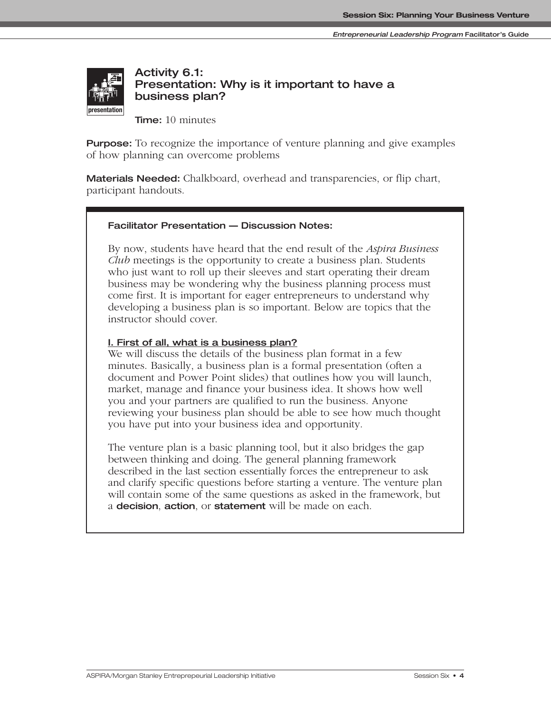

**Activity 6.1: Presentation: Why is it important to have a business plan?**

**Time:** 10 minutes

**Purpose:** To recognize the importance of venture planning and give examples of how planning can overcome problems

**Materials Needed:** Chalkboard, overhead and transparencies, or flip chart, participant handouts.

#### **Facilitator Presentation — Discussion Notes:**

By now, students have heard that the end result of the *Aspira Business Club* meetings is the opportunity to create a business plan. Students who just want to roll up their sleeves and start operating their dream business may be wondering why the business planning process must come first. It is important for eager entrepreneurs to understand why developing a business plan is so important. Below are topics that the instructor should cover.

#### **I. First of all, what is a business plan?**

We will discuss the details of the business plan format in a few minutes. Basically, a business plan is a formal presentation (often a document and Power Point slides) that outlines how you will launch, market, manage and finance your business idea. It shows how well you and your partners are qualified to run the business. Anyone reviewing your business plan should be able to see how much thought you have put into your business idea and opportunity.

The venture plan is a basic planning tool, but it also bridges the gap between thinking and doing. The general planning framework described in the last section essentially forces the entrepreneur to ask and clarify specific questions before starting a venture. The venture plan will contain some of the same questions as asked in the framework, but a **decision**, **action**, or **statement** will be made on each.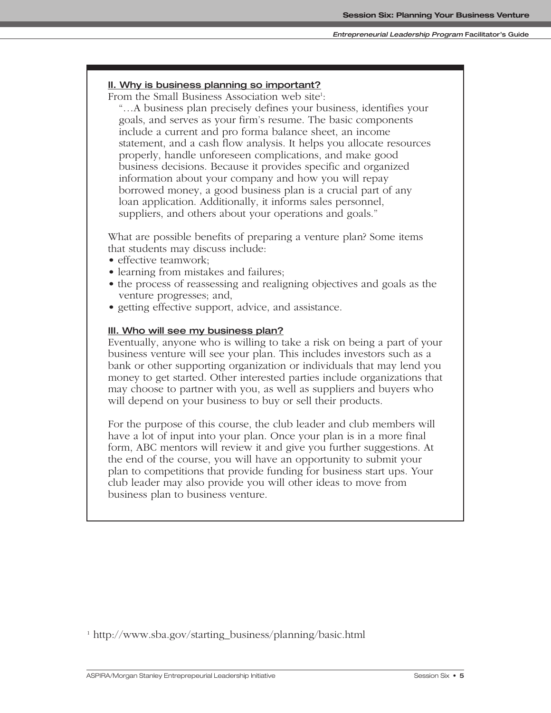#### **II. Why is business planning so important?**

From the Small Business Association web site<sup>1</sup>:

"…A business plan precisely defines your business, identifies your goals, and serves as your firm's resume. The basic components include a current and pro forma balance sheet, an income statement, and a cash flow analysis. It helps you allocate resources properly, handle unforeseen complications, and make good business decisions. Because it provides specific and organized information about your company and how you will repay borrowed money, a good business plan is a crucial part of any loan application. Additionally, it informs sales personnel, suppliers, and others about your operations and goals."

What are possible benefits of preparing a venture plan? Some items that students may discuss include:

- effective teamwork;
- learning from mistakes and failures;
- the process of reassessing and realigning objectives and goals as the venture progresses; and,
- getting effective support, advice, and assistance.

#### **III. Who will see my business plan?**

Eventually, anyone who is willing to take a risk on being a part of your business venture will see your plan. This includes investors such as a bank or other supporting organization or individuals that may lend you money to get started. Other interested parties include organizations that may choose to partner with you, as well as suppliers and buyers who will depend on your business to buy or sell their products.

For the purpose of this course, the club leader and club members will have a lot of input into your plan. Once your plan is in a more final form, ABC mentors will review it and give you further suggestions. At the end of the course, you will have an opportunity to submit your plan to competitions that provide funding for business start ups. Your club leader may also provide you will other ideas to move from business plan to business venture.

<sup>1</sup> http://www.sba.gov/starting\_business/planning/basic.html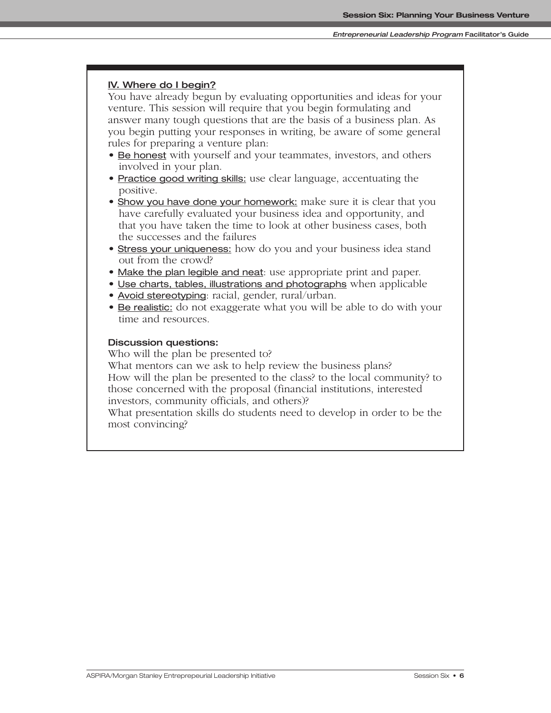#### **IV. Where do I begin?**

You have already begun by evaluating opportunities and ideas for your venture. This session will require that you begin formulating and answer many tough questions that are the basis of a business plan. As you begin putting your responses in writing, be aware of some general rules for preparing a venture plan:

- Be honest with yourself and your teammates, investors, and others involved in your plan.
- Practice good writing skills: use clear language, accentuating the positive.
- Show you have done your homework: make sure it is clear that you have carefully evaluated your business idea and opportunity, and that you have taken the time to look at other business cases, both the successes and the failures
- Stress your uniqueness: how do you and your business idea stand out from the crowd?
- Make the plan legible and neat: use appropriate print and paper.
- Use charts, tables, illustrations and photographs when applicable
- Avoid stereotyping: racial, gender, rural/urban.
- Be realistic: do not exaggerate what you will be able to do with your time and resources.

#### **Discussion questions:**

Who will the plan be presented to?

What mentors can we ask to help review the business plans? How will the plan be presented to the class? to the local community? to those concerned with the proposal (financial institutions, interested investors, community officials, and others)?

What presentation skills do students need to develop in order to be the most convincing?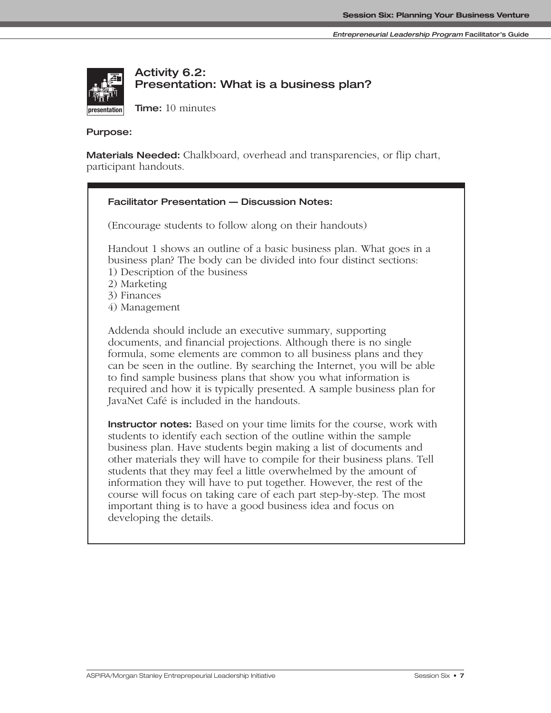

# **Activity 6.2: Presentation: What is a business plan?**

**presentation discussion discussion** 

**Purpose:** 

**Materials Needed:** Chalkboard, overhead and transparencies, or flip chart, participant handouts.

# **Facilitator Presentation — Discussion Notes:** (Encourage students to follow along on their handouts) Handout 1 shows an outline of a basic business plan. What goes in a business plan? The body can be divided into four distinct sections: 1) Description of the business 2) Marketing 3) Finances 4) Management Addenda should include an executive summary, supporting documents, and financial projections. Although there is no single formula, some elements are common to all business plans and they can be seen in the outline. By searching the Internet, you will be able to find sample business plans that show you what information is required and how it is typically presented. A sample business plan for JavaNet Café is included in the handouts. **Instructor notes:** Based on your time limits for the course, work with students to identify each section of the outline within the sample business plan. Have students begin making a list of documents and other materials they will have to compile for their business plans. Tell students that they may feel a little overwhelmed by the amount of information they will have to put together. However, the rest of the course will focus on taking care of each part step-by-step. The most important thing is to have a good business idea and focus on developing the details.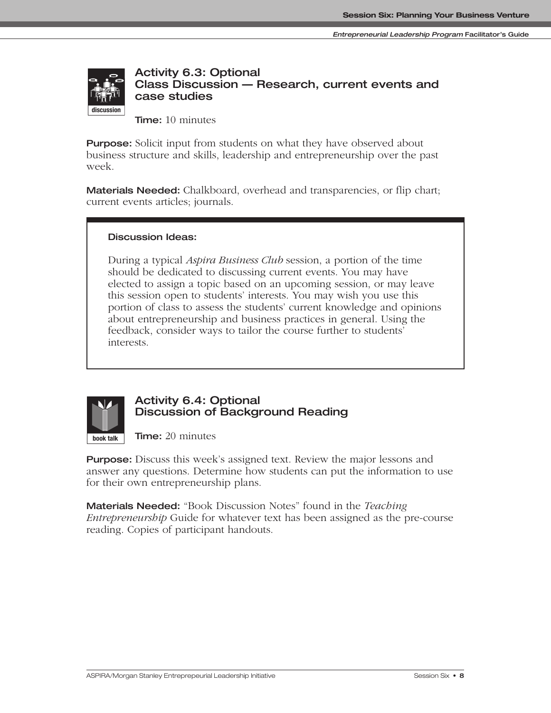

**Activity 6.3: Optional Class Discussion — Research, current events and case studies**

**Time:** 10 minutes

**Purpose:** Solicit input from students on what they have observed about business structure and skills, leadership and entrepreneurship over the past week.

**Materials Needed:** Chalkboard, overhead and transparencies, or flip chart; current events articles; journals.

#### **Discussion Ideas:**

**presentation discussion**

During a typical *Aspira Business Club* session, a portion of the time should be dedicated to discussing current events. You may have elected to assign a topic based on an upcoming session, or may leave this session open to students' interests. You may wish you use this portion of class to assess the students' current knowledge and opinions about entrepreneurship and business practices in general. Using the feedback, consider ways to tailor the course further to students' interests.



#### **Activity 6.4: Optional Discussion of Background Reading**

**Time:** 20 minutes

**Purpose:** Discuss this week's assigned text. Review the major lessons and answer any questions. Determine how students can put the information to use for their own entrepreneurship plans.

**Materials Needed:** "Book Discussion Notes" found in the *Teaching Entrepreneurship* Guide for whatever text has been assigned as the pre-course reading. Copies of participant handouts.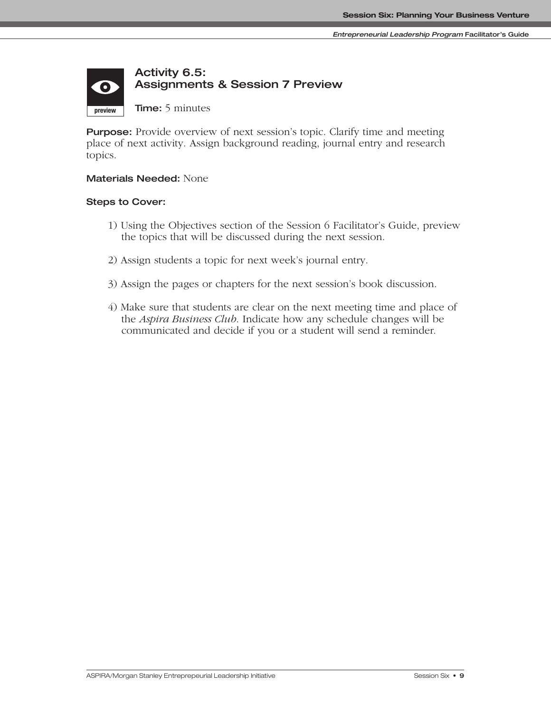## **Activity 6.5: Assignments & Session 7 Preview**  $\bullet$ **preview**

**Time:** 5 minutes

**Purpose:** Provide overview of next session's topic. Clarify time and meeting place of next activity. Assign background reading, journal entry and research topics.

#### **Materials Needed:** None

#### **Steps to Cover:**

**presentation discussion**

- 1) Using the Objectives section of the Session 6 Facilitator's Guide, preview the topics that will be discussed during the next session.
- 2) Assign students a topic for next week's journal entry.
- 3) Assign the pages or chapters for the next session's book discussion.
- 4) Make sure that students are clear on the next meeting time and place of the *Aspira Business Club*. Indicate how any schedule changes will be communicated and decide if you or a student will send a reminder.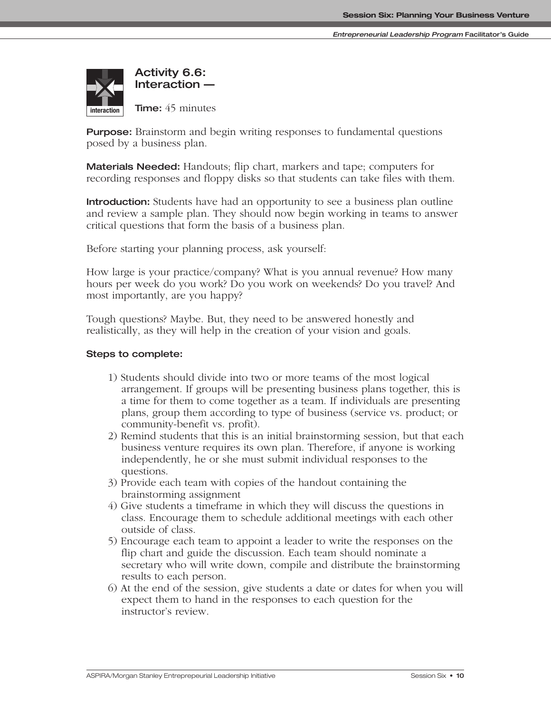**Entrepreneurial Leadership Program Facilitator's Guide**



**Purpose:** Brainstorm and begin writing responses to fundamental questions posed by a business plan.

**Materials Needed:** Handouts; flip chart, markers and tape; computers for recording responses and floppy disks so that students can take files with them.

**Introduction:** Students have had an opportunity to see a business plan outline and review a sample plan. They should now begin working in teams to answer critical questions that form the basis of a business plan.

Before starting your planning process, ask yourself:

How large is your practice/company? What is you annual revenue? How many hours per week do you work? Do you work on weekends? Do you travel? And most importantly, are you happy?

Tough questions? Maybe. But, they need to be answered honestly and realistically, as they will help in the creation of your vision and goals.

#### **Steps to complete:**

- 1) Students should divide into two or more teams of the most logical arrangement. If groups will be presenting business plans together, this is a time for them to come together as a team. If individuals are presenting plans, group them according to type of business (service vs. product; or community-benefit vs. profit).
- 2) Remind students that this is an initial brainstorming session, but that each business venture requires its own plan. Therefore, if anyone is working independently, he or she must submit individual responses to the questions.
- 3) Provide each team with copies of the handout containing the brainstorming assignment
- 4) Give students a timeframe in which they will discuss the questions in class. Encourage them to schedule additional meetings with each other outside of class.
- 5) Encourage each team to appoint a leader to write the responses on the flip chart and guide the discussion. Each team should nominate a secretary who will write down, compile and distribute the brainstorming results to each person.
- 6) At the end of the session, give students a date or dates for when you will expect them to hand in the responses to each question for the instructor's review.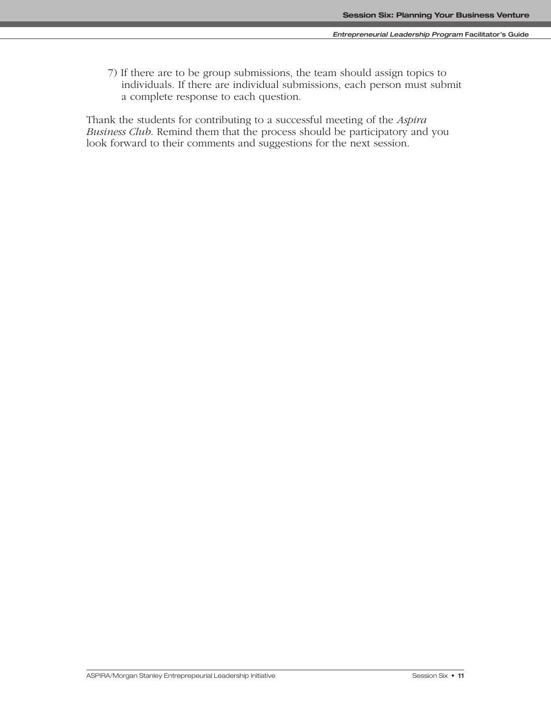7) If there are to be group submissions, the team should assign topics to individuals. If there are individual submissions, each person must submit a complete response to each question.

Thank the students for contributing to a successful meeting of the *Aspira Business Club*. Remind them that the process should be participatory and you look forward to their comments and suggestions for the next session.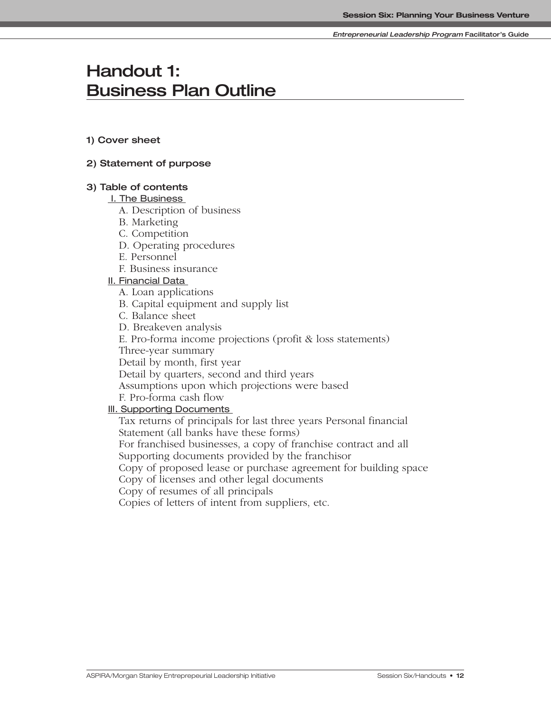**Entrepreneurial Leadership Program Facilitator's Guide**

# **Handout 1: Business Plan Outline**

#### **1) Cover sheet**

#### **2) Statement of purpose**

#### **3) Table of contents**

#### I. The Business

- A. Description of business
- B. Marketing
- C. Competition
- D. Operating procedures
- E. Personnel
- F. Business insurance

#### II. Financial Data

- A. Loan applications
- B. Capital equipment and supply list
- C. Balance sheet
- D. Breakeven analysis
- E. Pro-forma income projections (profit & loss statements)
- Three-year summary

Detail by month, first year

Detail by quarters, second and third years

Assumptions upon which projections were based

F. Pro-forma cash flow

#### **III. Supporting Documents**

Tax returns of principals for last three years Personal financial Statement (all banks have these forms) For franchised businesses, a copy of franchise contract and all Supporting documents provided by the franchisor Copy of proposed lease or purchase agreement for building space Copy of licenses and other legal documents Copy of resumes of all principals

Copies of letters of intent from suppliers, etc.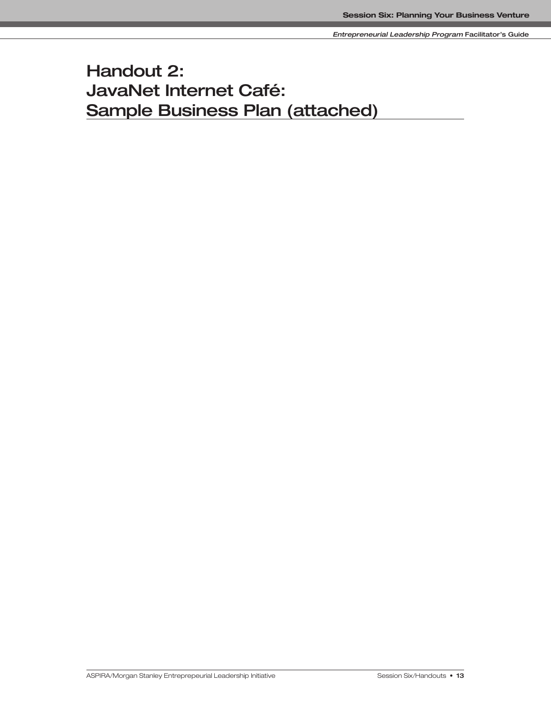**Handout 2: JavaNet Internet Café: Sample Business Plan (attached)**